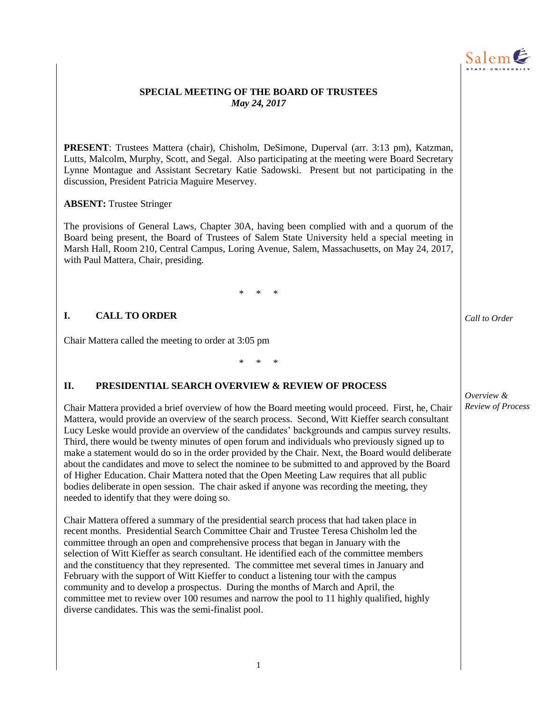

## **SPECIAL MEETING OF THE BOARD OF TRUSTEES** *May 24, 2017*

**PRESENT**: Trustees Mattera (chair), Chisholm, DeSimone, Duperval (arr. 3:13 pm), Katzman, Lutts, Malcolm, Murphy, Scott, and Segal. Also participating at the meeting were Board Secretary Lynne Montague and Assistant Secretary Katie Sadowski. Present but not participating in the discussion, President Patricia Maguire Meservey.

### **ABSENT:** Trustee Stringer

The provisions of General Laws, Chapter 30A, having been complied with and a quorum of the Board being present, the Board of Trustees of Salem State University held a special meeting in Marsh Hall, Room 210, Central Campus, Loring Avenue, Salem, Massachusetts, on May 24, 2017, with Paul Mattera, Chair, presiding.

\* \* \*

### **I. CALL TO ORDER**

Chair Mattera called the meeting to order at 3:05 pm

\* \* \*

### **II. PRESIDENTIAL SEARCH OVERVIEW & REVIEW OF PROCESS**

Chair Mattera provided a brief overview of how the Board meeting would proceed. First, he, Chair Mattera, would provide an overview of the search process. Second, Witt Kieffer search consultant Lucy Leske would provide an overview of the candidates' backgrounds and campus survey results. Third, there would be twenty minutes of open forum and individuals who previously signed up to make a statement would do so in the order provided by the Chair. Next, the Board would deliberate about the candidates and move to select the nominee to be submitted to and approved by the Board of Higher Education. Chair Mattera noted that the Open Meeting Law requires that all public bodies deliberate in open session. The chair asked if anyone was recording the meeting, they needed to identify that they were doing so.

Chair Mattera offered a summary of the presidential search process that had taken place in recent months. Presidential Search Committee Chair and Trustee Teresa Chisholm led the committee through an open and comprehensive process that began in January with the selection of Witt Kieffer as search consultant. He identified each of the committee members and the constituency that they represented. The committee met several times in January and February with the support of Witt Kieffer to conduct a listening tour with the campus community and to develop a prospectus. During the months of March and April, the committee met to review over 100 resumes and narrow the pool to 11 highly qualified, highly diverse candidates. This was the semi-finalist pool.

*Call to Order*

*Overview & Review of Process*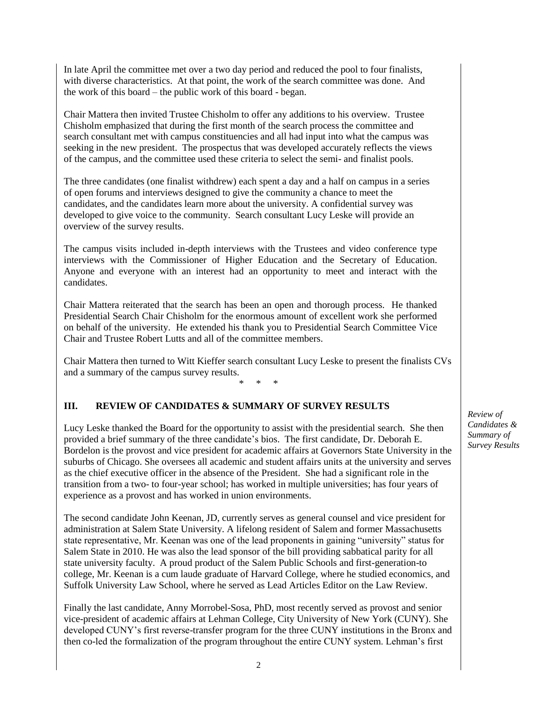In late April the committee met over a two day period and reduced the pool to four finalists, with diverse characteristics. At that point, the work of the search committee was done. And the work of this board – the public work of this board - began.

Chair Mattera then invited Trustee Chisholm to offer any additions to his overview. Trustee Chisholm emphasized that during the first month of the search process the committee and search consultant met with campus constituencies and all had input into what the campus was seeking in the new president. The prospectus that was developed accurately reflects the views of the campus, and the committee used these criteria to select the semi- and finalist pools.

The three candidates (one finalist withdrew) each spent a day and a half on campus in a series of open forums and interviews designed to give the community a chance to meet the candidates, and the candidates learn more about the university. A confidential survey was developed to give voice to the community. Search consultant Lucy Leske will provide an overview of the survey results.

The campus visits included in-depth interviews with the Trustees and video conference type interviews with the Commissioner of Higher Education and the Secretary of Education. Anyone and everyone with an interest had an opportunity to meet and interact with the candidates.

Chair Mattera reiterated that the search has been an open and thorough process. He thanked Presidential Search Chair Chisholm for the enormous amount of excellent work she performed on behalf of the university. He extended his thank you to Presidential Search Committee Vice Chair and Trustee Robert Lutts and all of the committee members.

Chair Mattera then turned to Witt Kieffer search consultant Lucy Leske to present the finalists CVs and a summary of the campus survey results.

\* \* \*

## **III. REVIEW OF CANDIDATES & SUMMARY OF SURVEY RESULTS**

Lucy Leske thanked the Board for the opportunity to assist with the presidential search. She then provided a brief summary of the three candidate's bios. The first candidate, Dr. Deborah E. Bordelon is the provost and vice president for academic affairs at Governors State University in the suburbs of Chicago. She oversees all academic and student affairs units at the university and serves as the chief executive officer in the absence of the President. She had a significant role in the transition from a two- to four-year school; has worked in multiple universities; has four years of experience as a provost and has worked in union environments.

The second candidate John Keenan, JD, currently serves as general counsel and vice president for administration at Salem State University. A lifelong resident of Salem and former Massachusetts state representative, Mr. Keenan was one of the lead proponents in gaining "university" status for Salem State in 2010. He was also the lead sponsor of the bill providing sabbatical parity for all state university faculty. A proud product of the Salem Public Schools and first-generation-to college, Mr. Keenan is a cum laude graduate of Harvard College, where he studied economics, and Suffolk University Law School, where he served as Lead Articles Editor on the Law Review.

Finally the last candidate, Anny Morrobel-Sosa, PhD, most recently served as provost and senior vice-president of academic affairs at Lehman College, City University of New York (CUNY). She developed CUNY's first reverse-transfer program for the three CUNY institutions in the Bronx and then co-led the formalization of the program throughout the entire CUNY system. Lehman's first

*Review of Candidates & Summary of Survey Results*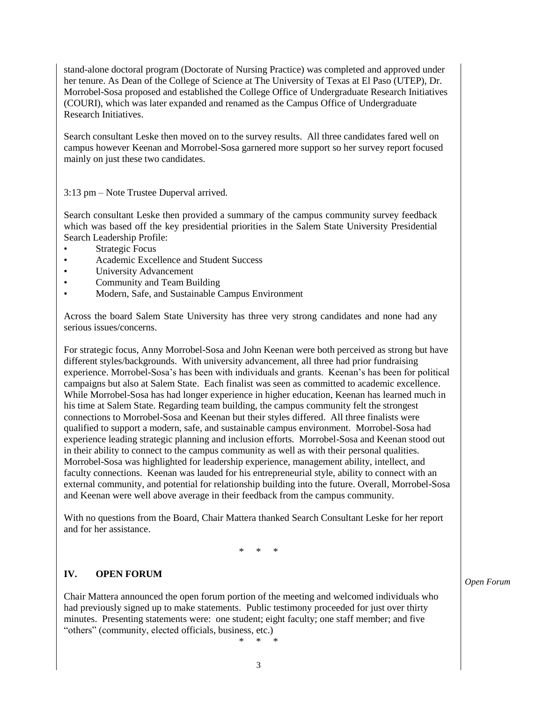stand-alone doctoral program (Doctorate of Nursing Practice) was completed and approved under her tenure. As Dean of the College of Science at The University of Texas at El Paso (UTEP), Dr. Morrobel-Sosa proposed and established the College Office of Undergraduate Research Initiatives (COURI), which was later expanded and renamed as the Campus Office of Undergraduate Research Initiatives.

Search consultant Leske then moved on to the survey results. All three candidates fared well on campus however Keenan and Morrobel-Sosa garnered more support so her survey report focused mainly on just these two candidates.

3:13 pm – Note Trustee Duperval arrived.

Search consultant Leske then provided a summary of the campus community survey feedback which was based off the key presidential priorities in the Salem State University Presidential Search Leadership Profile:

- Strategic Focus
- Academic Excellence and Student Success
- University Advancement
- Community and Team Building
- Modern, Safe, and Sustainable Campus Environment

Across the board Salem State University has three very strong candidates and none had any serious issues/concerns.

For strategic focus, Anny Morrobel-Sosa and John Keenan were both perceived as strong but have different styles/backgrounds. With university advancement, all three had prior fundraising experience. Morrobel-Sosa's has been with individuals and grants. Keenan's has been for political campaigns but also at Salem State. Each finalist was seen as committed to academic excellence. While Morrobel-Sosa has had longer experience in higher education, Keenan has learned much in his time at Salem State. Regarding team building, the campus community felt the strongest connections to Morrobel-Sosa and Keenan but their styles differed. All three finalists were qualified to support a modern, safe, and sustainable campus environment. Morrobel-Sosa had experience leading strategic planning and inclusion efforts. Morrobel-Sosa and Keenan stood out in their ability to connect to the campus community as well as with their personal qualities. Morrobel-Sosa was highlighted for leadership experience, management ability, intellect, and faculty connections. Keenan was lauded for his entrepreneurial style, ability to connect with an external community, and potential for relationship building into the future. Overall, Morrobel-Sosa and Keenan were well above average in their feedback from the campus community.

With no questions from the Board, Chair Mattera thanked Search Consultant Leske for her report and for her assistance.

\* \* \*

#### **IV. OPEN FORUM**

Chair Mattera announced the open forum portion of the meeting and welcomed individuals who had previously signed up to make statements. Public testimony proceeded for just over thirty minutes. Presenting statements were: one student; eight faculty; one staff member; and five "others" (community, elected officials, business, etc.)

\* \* \*

*Open Forum*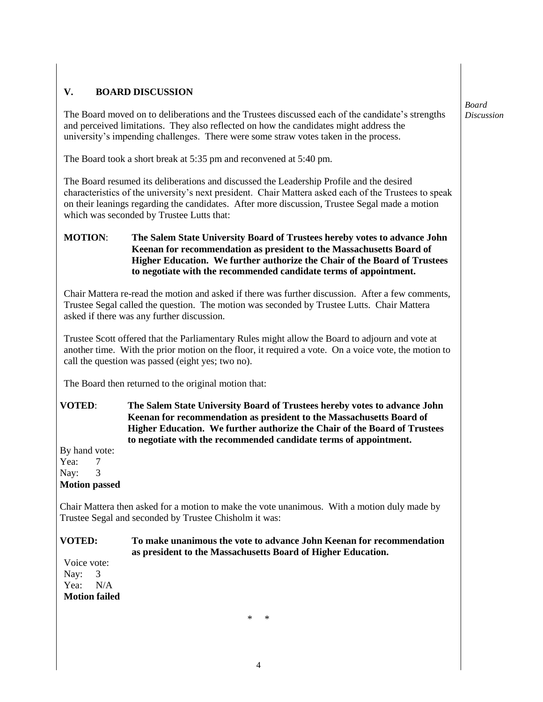# **V. BOARD DISCUSSION**

The Board moved on to deliberations and the Trustees discussed each of the candidate's strengths and perceived limitations. They also reflected on how the candidates might address the university's impending challenges. There were some straw votes taken in the process.

The Board took a short break at 5:35 pm and reconvened at 5:40 pm.

The Board resumed its deliberations and discussed the Leadership Profile and the desired characteristics of the university's next president. Chair Mattera asked each of the Trustees to speak on their leanings regarding the candidates. After more discussion, Trustee Segal made a motion which was seconded by Trustee Lutts that:

## **MOTION**: **The Salem State University Board of Trustees hereby votes to advance John Keenan for recommendation as president to the Massachusetts Board of Higher Education. We further authorize the Chair of the Board of Trustees to negotiate with the recommended candidate terms of appointment.**

Chair Mattera re-read the motion and asked if there was further discussion. After a few comments, Trustee Segal called the question. The motion was seconded by Trustee Lutts. Chair Mattera asked if there was any further discussion.

Trustee Scott offered that the Parliamentary Rules might allow the Board to adjourn and vote at another time. With the prior motion on the floor, it required a vote. On a voice vote, the motion to call the question was passed (eight yes; two no).

The Board then returned to the original motion that:

**VOTED**: **The Salem State University Board of Trustees hereby votes to advance John Keenan for recommendation as president to the Massachusetts Board of Higher Education. We further authorize the Chair of the Board of Trustees to negotiate with the recommended candidate terms of appointment.**

By hand vote: Yea: 7 Nay: 3 **Motion passed**

Chair Mattera then asked for a motion to make the vote unanimous. With a motion duly made by Trustee Segal and seconded by Trustee Chisholm it was:

### **VOTED: To make unanimous the vote to advance John Keenan for recommendation as president to the Massachusetts Board of Higher Education.**

Voice vote: Nav: 3 Yea: N/A **Motion failed**

\* \*

*Board Discussion*